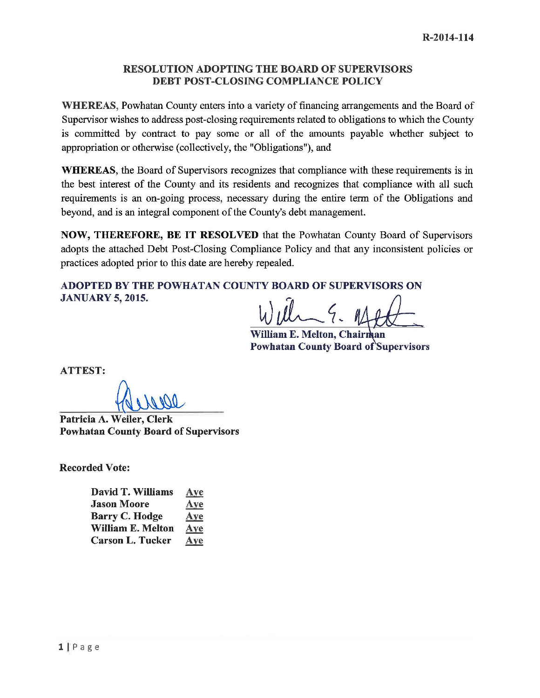#### RESOLUTION ADOPTING THE BOARD OF SUPERVISORS DEBT POST-CLOSING COMPLIANCE POLICY

WHEREAS, Powhatan County enters into a variety of financing arrangements and the Board of Supervisor wishes to address post-closing requirements related to obligations to which the County is committed by contract to pay some or all of the amounts payable whether subject to appropriation or otherwise (collectively, the "Obligations"), and

WHEREAS, the Board of Supervisors recognizes that compliance with these requirements is in the best interest of the County and its residents and recognizes that compliance with all such requirements is an on-going process, necessary during the entire term of the Obligations and beyond, and is an integral component of the County's debt management.

NOW, THEREFORE, BE IT RESOLVED that the Powhatan County Board of Supervisors adopts the attached Debt Post-Closing Compliance Policy and that any inconsistent policies or practices adopted prior to this date are hereby repealed.

ADOPTED BY THE POWHATAN COUNTY BOARD OF SUPERVISORS ON JANUARY 5, 2015.

William E. Melton, Chairman Powhatan County Board of Supervisors

ATTEST:

Patricia A. Weiler, Clerk Powhatan County Board of Supervisors

Recorded Vote:

| David T. Williams        | Aye |
|--------------------------|-----|
| <b>Jason Moore</b>       | Aye |
| <b>Barry C. Hodge</b>    | Aye |
| <b>William E. Melton</b> | Aye |
| <b>Carson L. Tucker</b>  | Aye |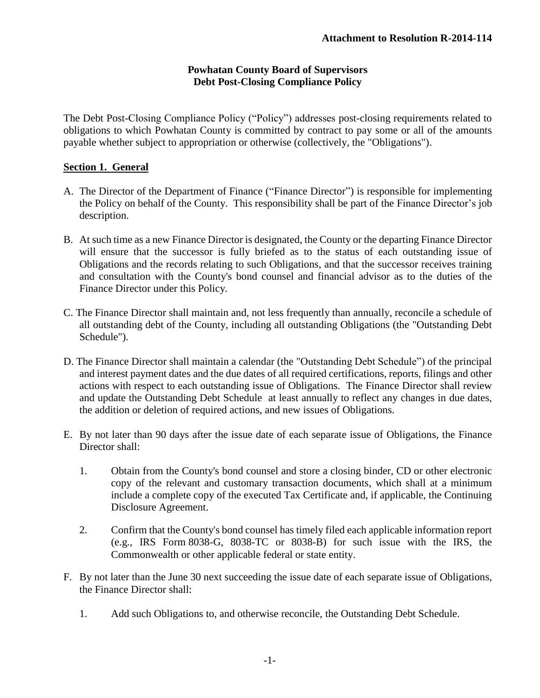## **Powhatan County Board of Supervisors Debt Post-Closing Compliance Policy**

The Debt Post-Closing Compliance Policy ("Policy") addresses post-closing requirements related to obligations to which Powhatan County is committed by contract to pay some or all of the amounts payable whether subject to appropriation or otherwise (collectively, the "Obligations").

## **Section 1. General**

- A. The Director of the Department of Finance ("Finance Director") is responsible for implementing the Policy on behalf of the County. This responsibility shall be part of the Finance Director's job description.
- B. At such time as a new Finance Director is designated, the County or the departing Finance Director will ensure that the successor is fully briefed as to the status of each outstanding issue of Obligations and the records relating to such Obligations, and that the successor receives training and consultation with the County's bond counsel and financial advisor as to the duties of the Finance Director under this Policy.
- C. The Finance Director shall maintain and, not less frequently than annually, reconcile a schedule of all outstanding debt of the County, including all outstanding Obligations (the "Outstanding Debt Schedule").
- D. The Finance Director shall maintain a calendar (the "Outstanding Debt Schedule") of the principal and interest payment dates and the due dates of all required certifications, reports, filings and other actions with respect to each outstanding issue of Obligations. The Finance Director shall review and update the Outstanding Debt Schedule at least annually to reflect any changes in due dates, the addition or deletion of required actions, and new issues of Obligations.
- E. By not later than 90 days after the issue date of each separate issue of Obligations, the Finance Director shall:
	- 1. Obtain from the County's bond counsel and store a closing binder, CD or other electronic copy of the relevant and customary transaction documents, which shall at a minimum include a complete copy of the executed Tax Certificate and, if applicable, the Continuing Disclosure Agreement.
	- 2. Confirm that the County's bond counsel has timely filed each applicable information report (e.g., IRS Form 8038-G, 8038-TC or 8038-B) for such issue with the IRS, the Commonwealth or other applicable federal or state entity.
- F. By not later than the June 30 next succeeding the issue date of each separate issue of Obligations, the Finance Director shall:
	- 1. Add such Obligations to, and otherwise reconcile, the Outstanding Debt Schedule.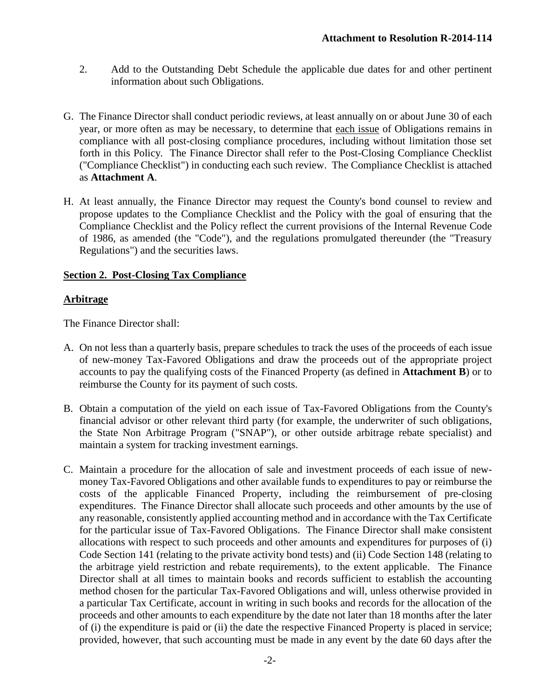- 2. Add to the Outstanding Debt Schedule the applicable due dates for and other pertinent information about such Obligations.
- G. The Finance Director shall conduct periodic reviews, at least annually on or about June 30 of each year, or more often as may be necessary, to determine that each issue of Obligations remains in compliance with all post-closing compliance procedures, including without limitation those set forth in this Policy. The Finance Director shall refer to the Post-Closing Compliance Checklist ("Compliance Checklist") in conducting each such review. The Compliance Checklist is attached as **Attachment A**.
- H. At least annually, the Finance Director may request the County's bond counsel to review and propose updates to the Compliance Checklist and the Policy with the goal of ensuring that the Compliance Checklist and the Policy reflect the current provisions of the Internal Revenue Code of 1986, as amended (the "Code"), and the regulations promulgated thereunder (the "Treasury Regulations") and the securities laws.

## **Section 2. Post-Closing Tax Compliance**

## **Arbitrage**

- A. On not less than a quarterly basis, prepare schedules to track the uses of the proceeds of each issue of new-money Tax-Favored Obligations and draw the proceeds out of the appropriate project accounts to pay the qualifying costs of the Financed Property (as defined in **Attachment B**) or to reimburse the County for its payment of such costs.
- B. Obtain a computation of the yield on each issue of Tax-Favored Obligations from the County's financial advisor or other relevant third party (for example, the underwriter of such obligations, the State Non Arbitrage Program ("SNAP"), or other outside arbitrage rebate specialist) and maintain a system for tracking investment earnings.
- C. Maintain a procedure for the allocation of sale and investment proceeds of each issue of newmoney Tax-Favored Obligations and other available funds to expenditures to pay or reimburse the costs of the applicable Financed Property, including the reimbursement of pre-closing expenditures. The Finance Director shall allocate such proceeds and other amounts by the use of any reasonable, consistently applied accounting method and in accordance with the Tax Certificate for the particular issue of Tax-Favored Obligations. The Finance Director shall make consistent allocations with respect to such proceeds and other amounts and expenditures for purposes of (i) Code Section 141 (relating to the private activity bond tests) and (ii) Code Section 148 (relating to the arbitrage yield restriction and rebate requirements), to the extent applicable. The Finance Director shall at all times to maintain books and records sufficient to establish the accounting method chosen for the particular Tax-Favored Obligations and will, unless otherwise provided in a particular Tax Certificate, account in writing in such books and records for the allocation of the proceeds and other amounts to each expenditure by the date not later than 18 months after the later of (i) the expenditure is paid or (ii) the date the respective Financed Property is placed in service; provided, however, that such accounting must be made in any event by the date 60 days after the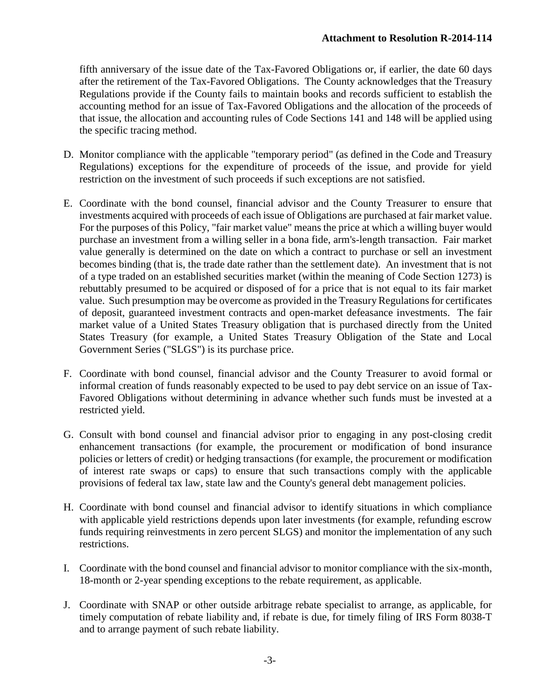fifth anniversary of the issue date of the Tax-Favored Obligations or, if earlier, the date 60 days after the retirement of the Tax-Favored Obligations. The County acknowledges that the Treasury Regulations provide if the County fails to maintain books and records sufficient to establish the accounting method for an issue of Tax-Favored Obligations and the allocation of the proceeds of that issue, the allocation and accounting rules of Code Sections 141 and 148 will be applied using the specific tracing method.

- D. Monitor compliance with the applicable "temporary period" (as defined in the Code and Treasury Regulations) exceptions for the expenditure of proceeds of the issue, and provide for yield restriction on the investment of such proceeds if such exceptions are not satisfied.
- E. Coordinate with the bond counsel, financial advisor and the County Treasurer to ensure that investments acquired with proceeds of each issue of Obligations are purchased at fair market value. For the purposes of this Policy, "fair market value" means the price at which a willing buyer would purchase an investment from a willing seller in a bona fide, arm's-length transaction. Fair market value generally is determined on the date on which a contract to purchase or sell an investment becomes binding (that is, the trade date rather than the settlement date). An investment that is not of a type traded on an established securities market (within the meaning of Code Section 1273) is rebuttably presumed to be acquired or disposed of for a price that is not equal to its fair market value. Such presumption may be overcome as provided in the Treasury Regulations for certificates of deposit, guaranteed investment contracts and open-market defeasance investments. The fair market value of a United States Treasury obligation that is purchased directly from the United States Treasury (for example, a United States Treasury Obligation of the State and Local Government Series ("SLGS") is its purchase price.
- F. Coordinate with bond counsel, financial advisor and the County Treasurer to avoid formal or informal creation of funds reasonably expected to be used to pay debt service on an issue of Tax-Favored Obligations without determining in advance whether such funds must be invested at a restricted yield.
- G. Consult with bond counsel and financial advisor prior to engaging in any post-closing credit enhancement transactions (for example, the procurement or modification of bond insurance policies or letters of credit) or hedging transactions (for example, the procurement or modification of interest rate swaps or caps) to ensure that such transactions comply with the applicable provisions of federal tax law, state law and the County's general debt management policies.
- H. Coordinate with bond counsel and financial advisor to identify situations in which compliance with applicable yield restrictions depends upon later investments (for example, refunding escrow funds requiring reinvestments in zero percent SLGS) and monitor the implementation of any such restrictions.
- I. Coordinate with the bond counsel and financial advisor to monitor compliance with the six-month, 18-month or 2-year spending exceptions to the rebate requirement, as applicable.
- J. Coordinate with SNAP or other outside arbitrage rebate specialist to arrange, as applicable, for timely computation of rebate liability and, if rebate is due, for timely filing of IRS Form 8038-T and to arrange payment of such rebate liability.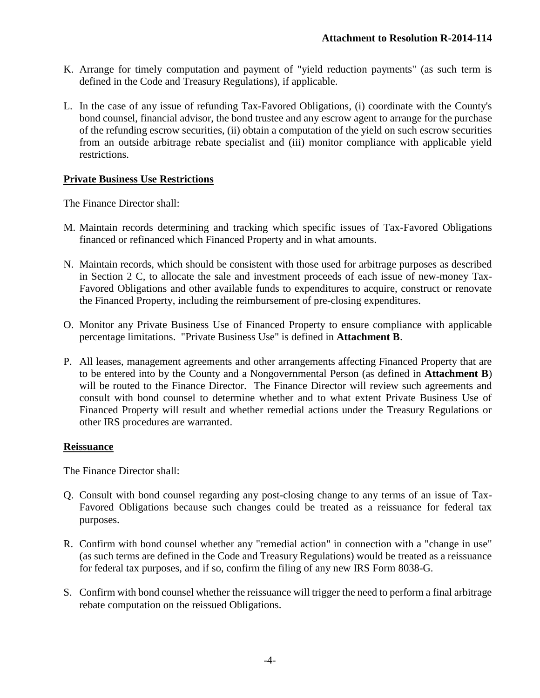- K. Arrange for timely computation and payment of "yield reduction payments" (as such term is defined in the Code and Treasury Regulations), if applicable.
- L. In the case of any issue of refunding Tax-Favored Obligations, (i) coordinate with the County's bond counsel, financial advisor, the bond trustee and any escrow agent to arrange for the purchase of the refunding escrow securities, (ii) obtain a computation of the yield on such escrow securities from an outside arbitrage rebate specialist and (iii) monitor compliance with applicable yield restrictions.

## **Private Business Use Restrictions**

The Finance Director shall:

- M. Maintain records determining and tracking which specific issues of Tax-Favored Obligations financed or refinanced which Financed Property and in what amounts.
- N. Maintain records, which should be consistent with those used for arbitrage purposes as described in Section 2 C, to allocate the sale and investment proceeds of each issue of new-money Tax-Favored Obligations and other available funds to expenditures to acquire, construct or renovate the Financed Property, including the reimbursement of pre-closing expenditures.
- O. Monitor any Private Business Use of Financed Property to ensure compliance with applicable percentage limitations. "Private Business Use" is defined in **Attachment B**.
- P. All leases, management agreements and other arrangements affecting Financed Property that are to be entered into by the County and a Nongovernmental Person (as defined in **Attachment B**) will be routed to the Finance Director. The Finance Director will review such agreements and consult with bond counsel to determine whether and to what extent Private Business Use of Financed Property will result and whether remedial actions under the Treasury Regulations or other IRS procedures are warranted.

## **Reissuance**

- Q. Consult with bond counsel regarding any post-closing change to any terms of an issue of Tax-Favored Obligations because such changes could be treated as a reissuance for federal tax purposes.
- R. Confirm with bond counsel whether any "remedial action" in connection with a "change in use" (as such terms are defined in the Code and Treasury Regulations) would be treated as a reissuance for federal tax purposes, and if so, confirm the filing of any new IRS Form 8038-G.
- S. Confirm with bond counsel whether the reissuance will trigger the need to perform a final arbitrage rebate computation on the reissued Obligations.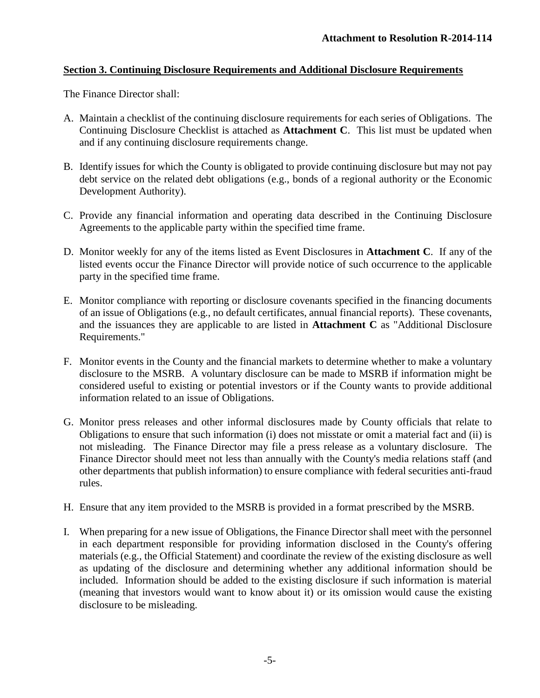## **Section 3. Continuing Disclosure Requirements and Additional Disclosure Requirements**

- A. Maintain a checklist of the continuing disclosure requirements for each series of Obligations. The Continuing Disclosure Checklist is attached as **Attachment C**. This list must be updated when and if any continuing disclosure requirements change.
- B. Identify issues for which the County is obligated to provide continuing disclosure but may not pay debt service on the related debt obligations (e.g., bonds of a regional authority or the Economic Development Authority).
- C. Provide any financial information and operating data described in the Continuing Disclosure Agreements to the applicable party within the specified time frame.
- D. Monitor weekly for any of the items listed as Event Disclosures in **Attachment C**. If any of the listed events occur the Finance Director will provide notice of such occurrence to the applicable party in the specified time frame.
- E. Monitor compliance with reporting or disclosure covenants specified in the financing documents of an issue of Obligations (e.g., no default certificates, annual financial reports). These covenants, and the issuances they are applicable to are listed in **Attachment C** as "Additional Disclosure Requirements."
- F. Monitor events in the County and the financial markets to determine whether to make a voluntary disclosure to the MSRB. A voluntary disclosure can be made to MSRB if information might be considered useful to existing or potential investors or if the County wants to provide additional information related to an issue of Obligations.
- G. Monitor press releases and other informal disclosures made by County officials that relate to Obligations to ensure that such information (i) does not misstate or omit a material fact and (ii) is not misleading. The Finance Director may file a press release as a voluntary disclosure. The Finance Director should meet not less than annually with the County's media relations staff (and other departments that publish information) to ensure compliance with federal securities anti-fraud rules.
- H. Ensure that any item provided to the MSRB is provided in a format prescribed by the MSRB.
- I. When preparing for a new issue of Obligations, the Finance Director shall meet with the personnel in each department responsible for providing information disclosed in the County's offering materials (e.g., the Official Statement) and coordinate the review of the existing disclosure as well as updating of the disclosure and determining whether any additional information should be included. Information should be added to the existing disclosure if such information is material (meaning that investors would want to know about it) or its omission would cause the existing disclosure to be misleading.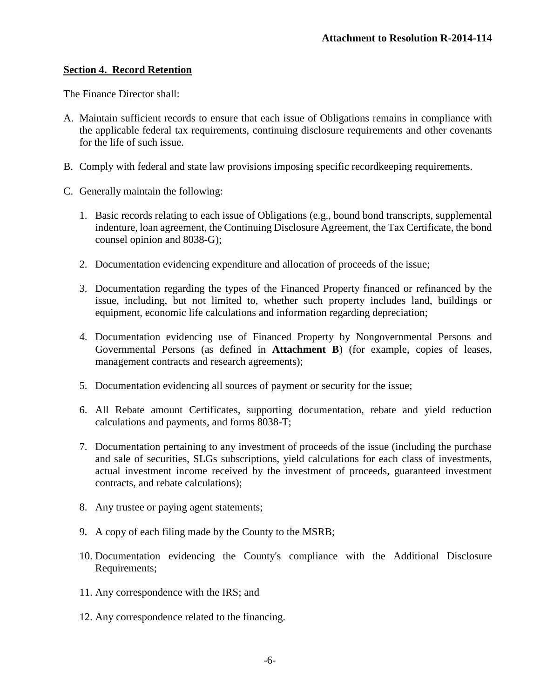#### **Section 4. Record Retention**

- A. Maintain sufficient records to ensure that each issue of Obligations remains in compliance with the applicable federal tax requirements, continuing disclosure requirements and other covenants for the life of such issue.
- B. Comply with federal and state law provisions imposing specific recordkeeping requirements.
- C. Generally maintain the following:
	- 1. Basic records relating to each issue of Obligations (e.g., bound bond transcripts, supplemental indenture, loan agreement, the Continuing Disclosure Agreement, the Tax Certificate, the bond counsel opinion and 8038-G);
	- 2. Documentation evidencing expenditure and allocation of proceeds of the issue;
	- 3. Documentation regarding the types of the Financed Property financed or refinanced by the issue, including, but not limited to, whether such property includes land, buildings or equipment, economic life calculations and information regarding depreciation;
	- 4. Documentation evidencing use of Financed Property by Nongovernmental Persons and Governmental Persons (as defined in **Attachment B**) (for example, copies of leases, management contracts and research agreements);
	- 5. Documentation evidencing all sources of payment or security for the issue;
	- 6. All Rebate amount Certificates, supporting documentation, rebate and yield reduction calculations and payments, and forms 8038-T;
	- 7. Documentation pertaining to any investment of proceeds of the issue (including the purchase and sale of securities, SLGs subscriptions, yield calculations for each class of investments, actual investment income received by the investment of proceeds, guaranteed investment contracts, and rebate calculations);
	- 8. Any trustee or paying agent statements;
	- 9. A copy of each filing made by the County to the MSRB;
	- 10. Documentation evidencing the County's compliance with the Additional Disclosure Requirements;
	- 11. Any correspondence with the IRS; and
	- 12. Any correspondence related to the financing.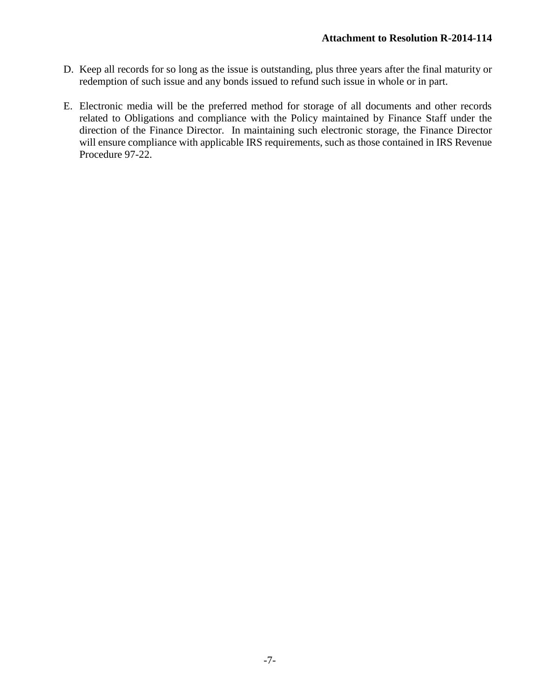- D. Keep all records for so long as the issue is outstanding, plus three years after the final maturity or redemption of such issue and any bonds issued to refund such issue in whole or in part.
- E. Electronic media will be the preferred method for storage of all documents and other records related to Obligations and compliance with the Policy maintained by Finance Staff under the direction of the Finance Director. In maintaining such electronic storage, the Finance Director will ensure compliance with applicable IRS requirements, such as those contained in IRS Revenue Procedure 97-22.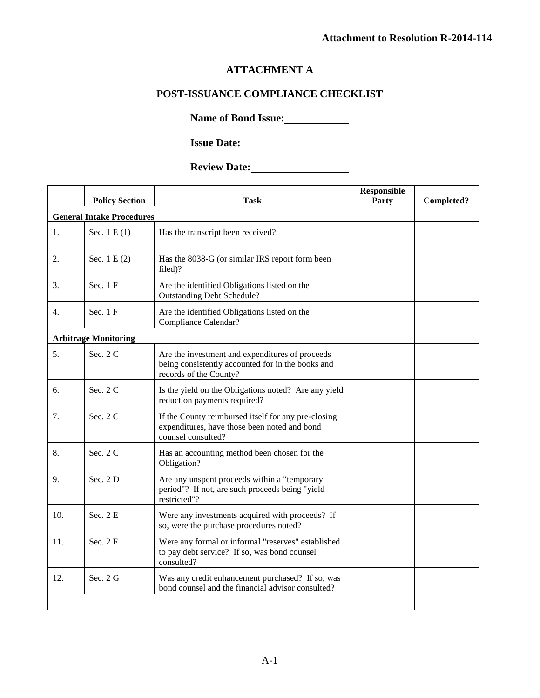## **ATTACHMENT A**

## **POST-ISSUANCE COMPLIANCE CHECKLIST**

**Name of Bond Issue:**

**Issue Date:**

# **Review Date:**

|                                  | <b>Policy Section</b>       | Task                                                                                                                           | <b>Responsible</b><br>Party | Completed? |  |  |
|----------------------------------|-----------------------------|--------------------------------------------------------------------------------------------------------------------------------|-----------------------------|------------|--|--|
| <b>General Intake Procedures</b> |                             |                                                                                                                                |                             |            |  |  |
| 1.                               | Sec. $1 E(1)$               | Has the transcript been received?                                                                                              |                             |            |  |  |
| 2.                               | Sec. $1 E(2)$               | Has the 8038-G (or similar IRS report form been<br>filed)?                                                                     |                             |            |  |  |
| 3.                               | Sec. 1 F                    | Are the identified Obligations listed on the<br><b>Outstanding Debt Schedule?</b>                                              |                             |            |  |  |
| 4.                               | Sec. 1 F                    | Are the identified Obligations listed on the<br>Compliance Calendar?                                                           |                             |            |  |  |
|                                  | <b>Arbitrage Monitoring</b> |                                                                                                                                |                             |            |  |  |
| 5.                               | Sec. 2 C                    | Are the investment and expenditures of proceeds<br>being consistently accounted for in the books and<br>records of the County? |                             |            |  |  |
| б.                               | Sec. 2 C                    | Is the yield on the Obligations noted? Are any yield<br>reduction payments required?                                           |                             |            |  |  |
| 7.                               | Sec. 2 C                    | If the County reimbursed itself for any pre-closing<br>expenditures, have those been noted and bond<br>counsel consulted?      |                             |            |  |  |
| 8.                               | Sec. $2C$                   | Has an accounting method been chosen for the<br>Obligation?                                                                    |                             |            |  |  |
| 9.                               | Sec. 2D                     | Are any unspent proceeds within a "temporary<br>period"? If not, are such proceeds being "yield<br>restricted"?                |                             |            |  |  |
| 10.                              | Sec. 2 E                    | Were any investments acquired with proceeds? If<br>so, were the purchase procedures noted?                                     |                             |            |  |  |
| 11.                              | Sec. $2F$                   | Were any formal or informal "reserves" established<br>to pay debt service? If so, was bond counsel<br>consulted?               |                             |            |  |  |
| 12.                              | Sec. 2 G                    | Was any credit enhancement purchased? If so, was<br>bond counsel and the financial advisor consulted?                          |                             |            |  |  |
|                                  |                             |                                                                                                                                |                             |            |  |  |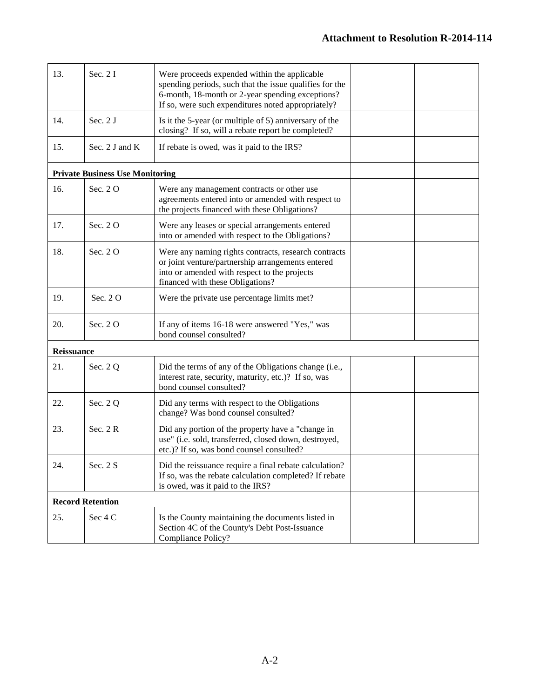| 13.        | Sec. 2 I                               | Were proceeds expended within the applicable<br>spending periods, such that the issue qualifies for the<br>6-month, 18-month or 2-year spending exceptions?<br>If so, were such expenditures noted appropriately? |  |
|------------|----------------------------------------|-------------------------------------------------------------------------------------------------------------------------------------------------------------------------------------------------------------------|--|
| 14.        | Sec. 2 J                               | Is it the 5-year (or multiple of 5) anniversary of the<br>closing? If so, will a rebate report be completed?                                                                                                      |  |
| 15.        | Sec. 2 J and K                         | If rebate is owed, was it paid to the IRS?                                                                                                                                                                        |  |
|            | <b>Private Business Use Monitoring</b> |                                                                                                                                                                                                                   |  |
| 16.        | Sec. 20                                | Were any management contracts or other use<br>agreements entered into or amended with respect to<br>the projects financed with these Obligations?                                                                 |  |
| 17.        | Sec. 20                                | Were any leases or special arrangements entered<br>into or amended with respect to the Obligations?                                                                                                               |  |
| 18.        | Sec. 20                                | Were any naming rights contracts, research contracts<br>or joint venture/partnership arrangements entered<br>into or amended with respect to the projects<br>financed with these Obligations?                     |  |
| 19.        | Sec. 20                                | Were the private use percentage limits met?                                                                                                                                                                       |  |
| 20.        | Sec. 20                                | If any of items 16-18 were answered "Yes," was<br>bond counsel consulted?                                                                                                                                         |  |
| Reissuance |                                        |                                                                                                                                                                                                                   |  |
| 21.        | Sec. 2 Q                               | Did the terms of any of the Obligations change (i.e.,<br>interest rate, security, maturity, etc.)? If so, was<br>bond counsel consulted?                                                                          |  |
| 22.        | Sec. 2 Q                               | Did any terms with respect to the Obligations<br>change? Was bond counsel consulted?                                                                                                                              |  |
| 23.        | Sec. 2R                                | Did any portion of the property have a "change in<br>use" (i.e. sold, transferred, closed down, destroyed,<br>etc.)? If so, was bond counsel consulted?                                                           |  |
| 24.        | Sec. 2 S                               | Did the reissuance require a final rebate calculation?<br>If so, was the rebate calculation completed? If rebate<br>is owed, was it paid to the IRS?                                                              |  |
|            | <b>Record Retention</b>                |                                                                                                                                                                                                                   |  |
| 25.        | Sec 4 C                                | Is the County maintaining the documents listed in<br>Section 4C of the County's Debt Post-Issuance<br>Compliance Policy?                                                                                          |  |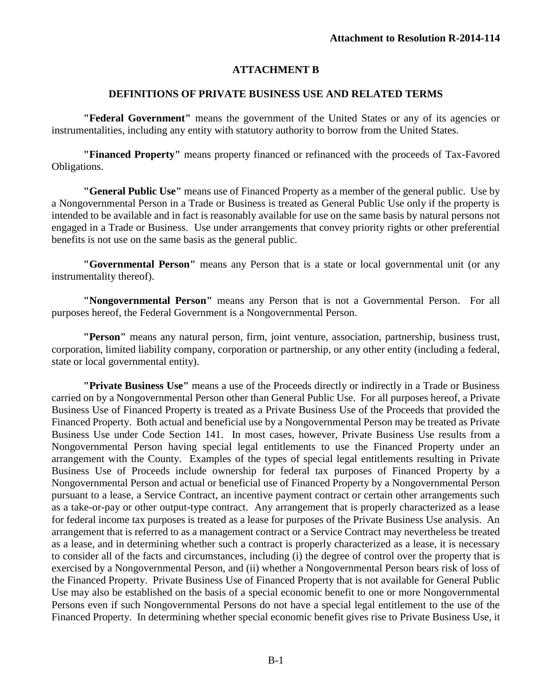## **ATTACHMENT B**

#### **DEFINITIONS OF PRIVATE BUSINESS USE AND RELATED TERMS**

**"Federal Government"** means the government of the United States or any of its agencies or instrumentalities, including any entity with statutory authority to borrow from the United States.

**"Financed Property"** means property financed or refinanced with the proceeds of Tax-Favored Obligations.

**"General Public Use"** means use of Financed Property as a member of the general public. Use by a Nongovernmental Person in a Trade or Business is treated as General Public Use only if the property is intended to be available and in fact is reasonably available for use on the same basis by natural persons not engaged in a Trade or Business. Use under arrangements that convey priority rights or other preferential benefits is not use on the same basis as the general public.

**"Governmental Person"** means any Person that is a state or local governmental unit (or any instrumentality thereof).

**"Nongovernmental Person"** means any Person that is not a Governmental Person. For all purposes hereof, the Federal Government is a Nongovernmental Person.

**"Person"** means any natural person, firm, joint venture, association, partnership, business trust, corporation, limited liability company, corporation or partnership, or any other entity (including a federal, state or local governmental entity).

**"Private Business Use"** means a use of the Proceeds directly or indirectly in a Trade or Business carried on by a Nongovernmental Person other than General Public Use. For all purposes hereof, a Private Business Use of Financed Property is treated as a Private Business Use of the Proceeds that provided the Financed Property. Both actual and beneficial use by a Nongovernmental Person may be treated as Private Business Use under Code Section 141. In most cases, however, Private Business Use results from a Nongovernmental Person having special legal entitlements to use the Financed Property under an arrangement with the County. Examples of the types of special legal entitlements resulting in Private Business Use of Proceeds include ownership for federal tax purposes of Financed Property by a Nongovernmental Person and actual or beneficial use of Financed Property by a Nongovernmental Person pursuant to a lease, a Service Contract, an incentive payment contract or certain other arrangements such as a take-or-pay or other output-type contract. Any arrangement that is properly characterized as a lease for federal income tax purposes is treated as a lease for purposes of the Private Business Use analysis. An arrangement that is referred to as a management contract or a Service Contract may nevertheless be treated as a lease, and in determining whether such a contract is properly characterized as a lease, it is necessary to consider all of the facts and circumstances, including (i) the degree of control over the property that is exercised by a Nongovernmental Person, and (ii) whether a Nongovernmental Person bears risk of loss of the Financed Property. Private Business Use of Financed Property that is not available for General Public Use may also be established on the basis of a special economic benefit to one or more Nongovernmental Persons even if such Nongovernmental Persons do not have a special legal entitlement to the use of the Financed Property. In determining whether special economic benefit gives rise to Private Business Use, it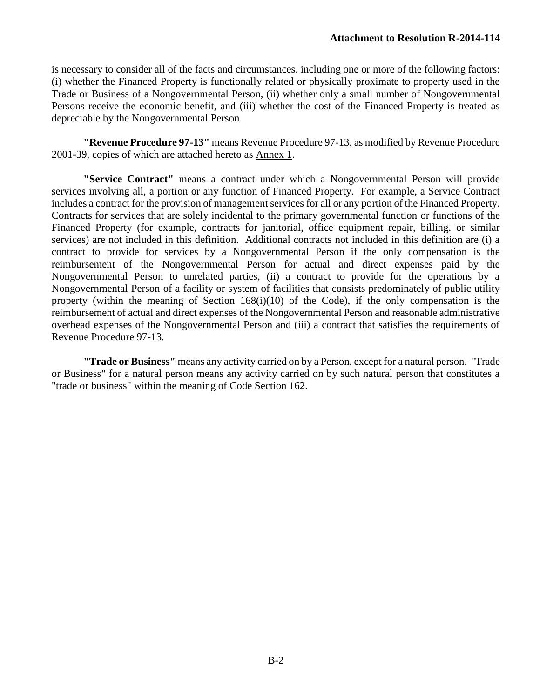is necessary to consider all of the facts and circumstances, including one or more of the following factors: (i) whether the Financed Property is functionally related or physically proximate to property used in the Trade or Business of a Nongovernmental Person, (ii) whether only a small number of Nongovernmental Persons receive the economic benefit, and (iii) whether the cost of the Financed Property is treated as depreciable by the Nongovernmental Person.

**"Revenue Procedure 97-13"** means Revenue Procedure 97-13, as modified by Revenue Procedure 2001-39, copies of which are attached hereto as Annex 1.

**"Service Contract"** means a contract under which a Nongovernmental Person will provide services involving all, a portion or any function of Financed Property. For example, a Service Contract includes a contract for the provision of management services for all or any portion of the Financed Property. Contracts for services that are solely incidental to the primary governmental function or functions of the Financed Property (for example, contracts for janitorial, office equipment repair, billing, or similar services) are not included in this definition. Additional contracts not included in this definition are (i) a contract to provide for services by a Nongovernmental Person if the only compensation is the reimbursement of the Nongovernmental Person for actual and direct expenses paid by the Nongovernmental Person to unrelated parties, (ii) a contract to provide for the operations by a Nongovernmental Person of a facility or system of facilities that consists predominately of public utility property (within the meaning of Section 168(i)(10) of the Code), if the only compensation is the reimbursement of actual and direct expenses of the Nongovernmental Person and reasonable administrative overhead expenses of the Nongovernmental Person and (iii) a contract that satisfies the requirements of Revenue Procedure 97-13.

**"Trade or Business"** means any activity carried on by a Person, except for a natural person. "Trade or Business" for a natural person means any activity carried on by such natural person that constitutes a "trade or business" within the meaning of Code Section 162.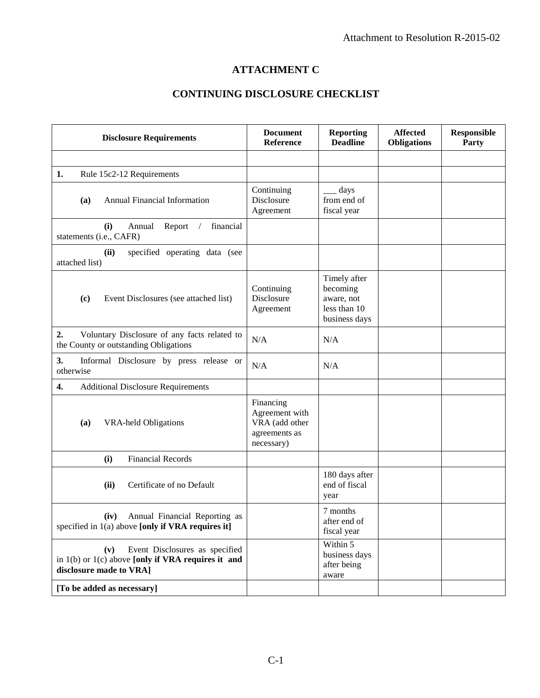## **ATTACHMENT C**

## **CONTINUING DISCLOSURE CHECKLIST**

| <b>Disclosure Requirements</b>                                                                                             | <b>Document</b><br>Reference                                                 | <b>Reporting</b><br><b>Deadline</b>                                     | <b>Affected</b><br><b>Obligations</b> | <b>Responsible</b><br>Party |
|----------------------------------------------------------------------------------------------------------------------------|------------------------------------------------------------------------------|-------------------------------------------------------------------------|---------------------------------------|-----------------------------|
|                                                                                                                            |                                                                              |                                                                         |                                       |                             |
| 1.<br>Rule 15c2-12 Requirements                                                                                            |                                                                              |                                                                         |                                       |                             |
| <b>Annual Financial Information</b><br>(a)                                                                                 | Continuing<br>Disclosure<br>Agreement                                        | days<br>from end of<br>fiscal year                                      |                                       |                             |
| financial<br>(i)<br>Annual<br>Report<br>$\sqrt{2}$<br>statements (i.e., CAFR)                                              |                                                                              |                                                                         |                                       |                             |
| (ii)<br>specified operating data (see<br>attached list)                                                                    |                                                                              |                                                                         |                                       |                             |
| Event Disclosures (see attached list)<br>(c)                                                                               | Continuing<br>Disclosure<br>Agreement                                        | Timely after<br>becoming<br>aware, not<br>less than 10<br>business days |                                       |                             |
| 2.<br>Voluntary Disclosure of any facts related to<br>the County or outstanding Obligations                                | N/A                                                                          | N/A                                                                     |                                       |                             |
| 3.<br>Informal Disclosure by press release or<br>otherwise                                                                 | N/A                                                                          | N/A                                                                     |                                       |                             |
| 4.<br><b>Additional Disclosure Requirements</b>                                                                            |                                                                              |                                                                         |                                       |                             |
| <b>VRA-held Obligations</b><br>(a)                                                                                         | Financing<br>Agreement with<br>VRA (add other<br>agreements as<br>necessary) |                                                                         |                                       |                             |
| <b>Financial Records</b><br>(i)                                                                                            |                                                                              |                                                                         |                                       |                             |
| Certificate of no Default<br>(ii)                                                                                          |                                                                              | 180 days after<br>end of fiscal<br>year                                 |                                       |                             |
| Annual Financial Reporting as<br>(iv)<br>specified in 1(a) above [only if VRA requires it]                                 |                                                                              | 7 months<br>after end of<br>fiscal year                                 |                                       |                             |
| Event Disclosures as specified<br>(v)<br>in $1(b)$ or $1(c)$ above [only if VRA requires it and<br>disclosure made to VRA] |                                                                              | Within 5<br>business days<br>after being<br>aware                       |                                       |                             |
| [To be added as necessary]                                                                                                 |                                                                              |                                                                         |                                       |                             |